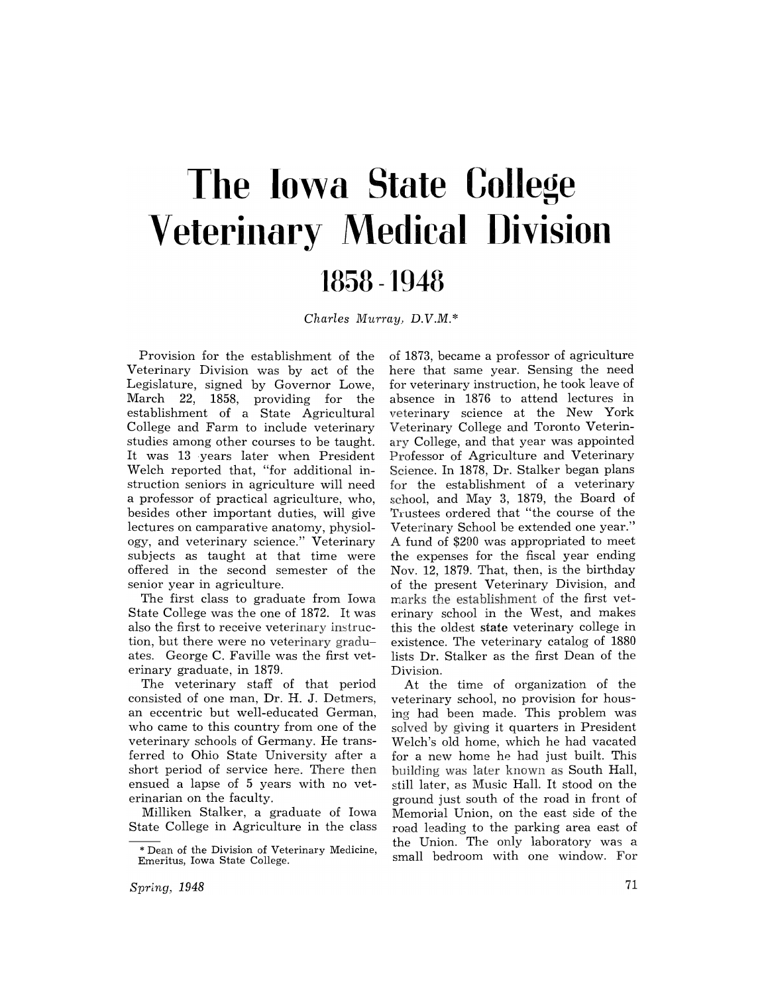# **'The Iowa State College Veterinary Medical Division 1858 -1948**

*Charles Murray) D.V.M.\** 

Provision for the establishment of the Veterinary Division was by act of the Legislature, signed by Governor Lowe, March 22, 1858, providing for the establishment of a State Agricultural College and Farm to include veterinary studies among other courses to be taught. It was 13 years later when President Welch reported that, "for additional instruction seniors in agriculture will need a professor of practical agriculture, who, besides other important duties, will give lectures on camparative anatomy, physiology, and veterinary science." Veterinary subjects as taught at that time were offered in the second semester of the senior year in agriculture.

The first class to graduate from Iowa State College was the one of 1872. It was also the first to receive veterinary instruction, but there were no veterinary graduates. George C. Faville was the first veterinary graduate, in 1879.

The veterinary staff of that period consisted of one man, Dr. H. J. Detmers, an eccentric but well-educated German, who came to this country from one of the veterinary schools of Germany. He transferred to Ohio State University after a short period of service here. There then ensued a lapse of 5 years with no veterinarian on the faculty.

Milliken Stalker, a graduate of Iowa State College in Agriculture in the class

of 1873, became a professor of agriculture here that same year. Sensing the need for veterinary instruction, he took leave of absence in 1876 to attend lectures in veterinary science at the New York Veterinary College and Toronto Veterinary College, and that year was appointed Professor of Agriculture and Veterinary Science. In 1878, Dr. Stalker began plans for the establishment of a veterinary school, and May 3, 1879, the Board of Trustees ordered that "the course of the Veterinary School be extended one year." A fund of \$200 was appropriated to meet the expenses for the fiscal year ending Nov. 12, 1879. That, then, is the birthday of the present Veterinary Division, and marks the establishment of the first veterinary school in the West, and makes this the oldest state veterinary college in existence. The veterinary catalog of 1880 lists Dr. Stalker as the first Dean of the Division.

At the time of organization of the veterinary school, no provision for housing had been made. This problem was solved by giving it quarters in President Welch's old home, which he had vacated for a new home he had just built. This building was later known as South Hall, still later, as Music Hall. It stood on the ground just south of the road in front of Memorial Union, on the east side of the road leading to the parking area east of the Union. The only laboratory was a small bedroom with one window. For

<sup>\*</sup> Dean of the Division of Veterinary Medicine, Emeritus, Iowa State College.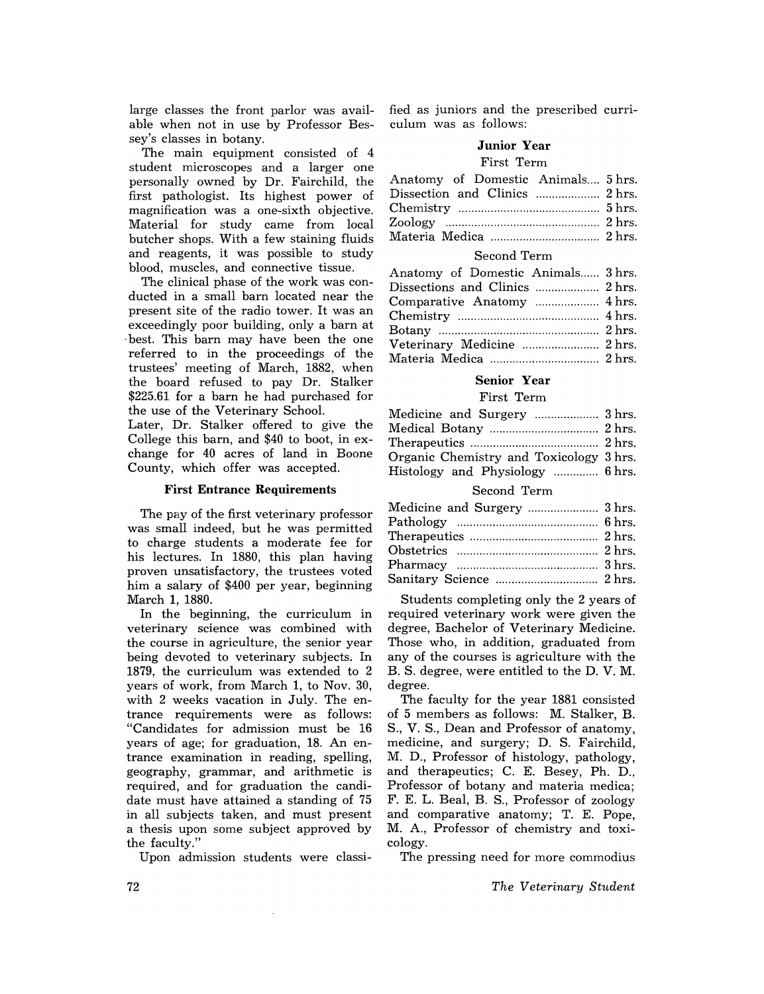large classes the front parlor was available when not in use by Professor Bessey's classes in botany.

The main equipment consisted of 4 student microscopes and a larger one personally owned by Dr. Fairchild, the first pathologist. Its highest power of magnification was a one-sixth objective. Material for study came from local butcher shops. With a few staining fluids and reagents, it was possible to study blood, muscles, and connective tissue.

The clinical phase of the work was conducted in a small barn located near the present site of the radio tower. It was an exceedingly poor building, only a barn at . best. This barn may have been the one referred to in the proceedings of the trustees' meeting of March, 1882, when the board refused to pay Dr. Stalker \$225.61 for a barn he had purchased for the use of the Veterinary School.

Later, Dr. Stalker offered to give the College this barn, and \$40 to boot, in exchange for 40 acres of land in Boone County, which offer was accepted.

#### **First Entrance Requirements**

The pay of the first veterinary professor was small indeed, but he was permitted to charge students a moderate fee for his lectures. In 1880, this plan having proven unsatisfactory, the trustees voted him a salary of \$400 per year, beginning March 1, 1880.

In the beginning, the curriculum in veterinary science was combined with the course in agriculture, the senior year being devoted to veterinary subjects. In 1879, the curriculum was extended to 2 years of work, from March 1, to Nov. 30, with 2 weeks vacation in July. The entrance requirements were as follows: "Candidates for admission must be 16 years of age; for graduation, 18. An entrance examination in reading, spelling, geography, grammar, and arithmetic is required, and for graduation the candidate must have attained a standing of 75 in all subjects taken, and must present a thesis upon some subject approved by the faculty."

Upon admission students were classi-

fied as juniors and the prescribed curriculum was as follows:

# **Junior** Year

## First Term

| Anatomy of Domestic Animals 5 hrs. |  |
|------------------------------------|--|
|                                    |  |
|                                    |  |
|                                    |  |
|                                    |  |

#### Second Term

| Anatomy of Domestic Animals 3 hrs. |  |
|------------------------------------|--|
| Dissections and Clinics  2 hrs.    |  |
|                                    |  |
|                                    |  |
|                                    |  |
| Veterinary Medicine  2 hrs.        |  |
|                                    |  |

#### **Senior Year**

#### First Term

| Medicine and Surgery  3 hrs.            |  |
|-----------------------------------------|--|
|                                         |  |
|                                         |  |
| Organic Chemistry and Toxicology 3 hrs. |  |
| Histology and Physiology  6 hrs.        |  |
|                                         |  |

#### Second Term

| Medicine and Surgery  3 hrs. |  |
|------------------------------|--|
|                              |  |
|                              |  |
|                              |  |
|                              |  |
|                              |  |

Students completing only the 2 years of required veterinary work were given the degree, Bachelor of Veterinary Medicine. Those who, in addition, graduated from any of the courses is agriculture with the B. S. degree, were entitled to the D. V. M. degree.

The faculty for the year 1881 consisted of 5 members as follows: M. Stalker, B. S., V. S., Dean and Professor of anatomy, medicine, and surgery; D. S. Fairchild, M. D., Professor of histology, pathology, and therapeutics; C. E. Besey, Ph. D., Professor of botany and materia medica; F. E. L. Beal, B. S., Professor of zoology and comparative anatomy; T. E. Pope, M. A., Professor of chemistry and toxicology.

The pressing need for more commodius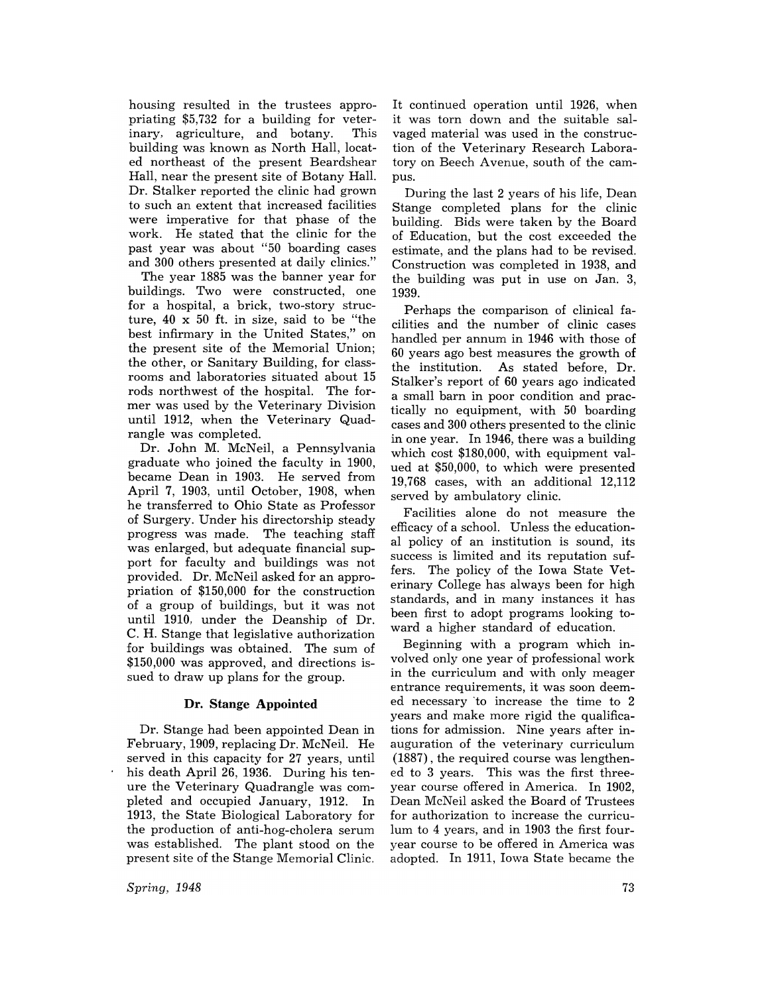housing resulted in the trustees appropriating \$5,732 for a building for veterinary, agriculture, and botany. This building was known as North Hall, located northeast of the present Beardshear Hall, near the present site of Botany Hall. Dr. Stalker reported the clinic had grown to such an extent that increased facilities were imperative for that phase of the work. He stated that the clinic for the past year was about "50 boarding cases and 300 others presented at daily clinics."

The year 1885 was the banner year for buildings. Two were constructed, one for a hospital, a brick, two-story structure, 40 x 50 ft. in size, said to be "the best infirmary in the United States," on the present site of the Memorial Union; the other, or Sanitary Building, for classrooms and laboratories situated about 15 rods northwest of the hospital. The former was used by the Veterinary Division until 1912, when the Veterinary Quadrangle was completed.

Dr. John M. McNeil, a Pennsylvania graduate who joined the faculty in 1900, became Dean in 1903. He served from April 7, 1903, until October, 1908, when he transferred to Ohio State as Professor of Surgery. Under his directorship steady progress was made. The teaching staff was enlarged, but adequate financial support for faculty and buildings was not provided. Dr. McNeil asked for an appropriation of \$150,000 for the construction of a group of buildings, but it was not until 1910, under the Deanship of Dr. C. H. Stange that legislative authorization for buildings was obtained. The sum of \$150,000 was approved, and directions issued to draw up plans for the group.

### Dr. Stange **Appointed**

Dr. Stange had been appointed Dean in February, 1909, replacing Dr. McNeil. He served in this capacity for 27 years, until his death April 26, 1936. During his tenure the Veterinary Quadrangle was completed and occupied January, 1912. In 1913, the State Biological Laboratory for the production of anti-hog-cholera serum was established. The plant stood on the present site of the Stange Memorial Clinic.

*Spring, 1948* 

It continued operation until 1926, when it was torn down and the suitable salvaged material was used in the construction of the Veterinary Research Laboratory on Beech Avenue, south of the campus.

During the last 2 years of his life, Dean Stange completed plans for the clinic building. Bids were taken by the Board of Education, but the cost exceeded the estimate, and the plans had to be revised. Construction was completed in 1938, and the building was put in use on Jan. 3, 1939.

Perhaps the comparison of clinical facilities and the number of clinic cases handled per annum in 1946 with those of 60 years ago best measures the growth of the institution. As stated before, Dr. Stalker's report of 60 years ago indicated a small barn in poor condition and practically no equipment, with 50 boarding cases and 300 others presented to the clinic in one year. In 1946, there was a building which cost \$180,000, with equipment valued at \$50,000, to which were presented 19,768 cases, with an additional 12,112 served by ambulatory clinic.

Facilities alone do not measure the efficacy of a school. Unless the educational policy of an institution is sound, its success is limited and its reputation suffers. The policy of the Iowa State Veterinary College has always been for high standards, and in many instances it has been first to adopt programs looking toward a higher standard of education.

Beginning with a program which involved only one year of professional work in the curriculum and with only meager entrance requirements, it was soon deemed necessary ·to increase the time to 2 years and make more rigid the qualifications for admission. Nine years after inauguration of the veterinary curriculum (1887) , the required course was lengthened to 3 years. This was the first threeyear course offered in America. In 1902, Dean McNeil asked the Board of Trustees for authorization to increase the curriculum to 4 years, and in 1903 the first fouryear course to be offered in America was adopted. In 1911, Iowa State became the